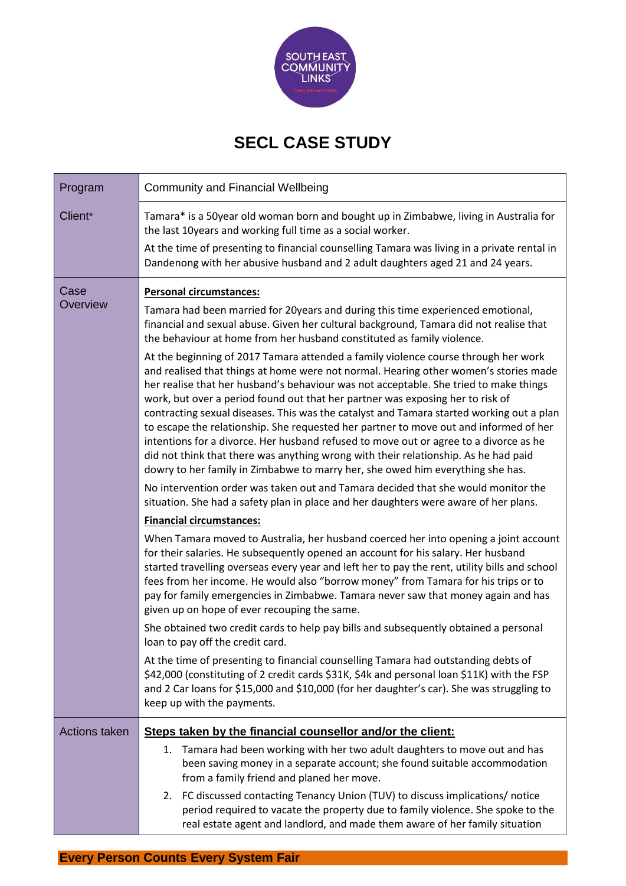

## **SECL CASE STUDY**

| Program              | <b>Community and Financial Wellbeing</b>                                                                                                                                                                                                                                                                                                                                                                                                                                                                                                                                                                                                                                                                                                                                                                     |
|----------------------|--------------------------------------------------------------------------------------------------------------------------------------------------------------------------------------------------------------------------------------------------------------------------------------------------------------------------------------------------------------------------------------------------------------------------------------------------------------------------------------------------------------------------------------------------------------------------------------------------------------------------------------------------------------------------------------------------------------------------------------------------------------------------------------------------------------|
| Client*              | Tamara* is a 50year old woman born and bought up in Zimbabwe, living in Australia for<br>the last 10years and working full time as a social worker.<br>At the time of presenting to financial counselling Tamara was living in a private rental in<br>Dandenong with her abusive husband and 2 adult daughters aged 21 and 24 years.                                                                                                                                                                                                                                                                                                                                                                                                                                                                         |
| Case<br>Overview     | <b>Personal circumstances:</b>                                                                                                                                                                                                                                                                                                                                                                                                                                                                                                                                                                                                                                                                                                                                                                               |
|                      | Tamara had been married for 20years and during this time experienced emotional,<br>financial and sexual abuse. Given her cultural background, Tamara did not realise that<br>the behaviour at home from her husband constituted as family violence.                                                                                                                                                                                                                                                                                                                                                                                                                                                                                                                                                          |
|                      | At the beginning of 2017 Tamara attended a family violence course through her work<br>and realised that things at home were not normal. Hearing other women's stories made<br>her realise that her husband's behaviour was not acceptable. She tried to make things<br>work, but over a period found out that her partner was exposing her to risk of<br>contracting sexual diseases. This was the catalyst and Tamara started working out a plan<br>to escape the relationship. She requested her partner to move out and informed of her<br>intentions for a divorce. Her husband refused to move out or agree to a divorce as he<br>did not think that there was anything wrong with their relationship. As he had paid<br>dowry to her family in Zimbabwe to marry her, she owed him everything she has. |
|                      | No intervention order was taken out and Tamara decided that she would monitor the<br>situation. She had a safety plan in place and her daughters were aware of her plans.                                                                                                                                                                                                                                                                                                                                                                                                                                                                                                                                                                                                                                    |
|                      | <b>Financial circumstances:</b>                                                                                                                                                                                                                                                                                                                                                                                                                                                                                                                                                                                                                                                                                                                                                                              |
|                      | When Tamara moved to Australia, her husband coerced her into opening a joint account<br>for their salaries. He subsequently opened an account for his salary. Her husband<br>started travelling overseas every year and left her to pay the rent, utility bills and school<br>fees from her income. He would also "borrow money" from Tamara for his trips or to<br>pay for family emergencies in Zimbabwe. Tamara never saw that money again and has<br>given up on hope of ever recouping the same.                                                                                                                                                                                                                                                                                                        |
|                      | She obtained two credit cards to help pay bills and subsequently obtained a personal<br>loan to pay off the credit card.                                                                                                                                                                                                                                                                                                                                                                                                                                                                                                                                                                                                                                                                                     |
|                      | At the time of presenting to financial counselling Tamara had outstanding debts of<br>\$42,000 (constituting of 2 credit cards \$31K, \$4k and personal loan \$11K) with the FSP<br>and 2 Car loans for \$15,000 and \$10,000 (for her daughter's car). She was struggling to<br>keep up with the payments.                                                                                                                                                                                                                                                                                                                                                                                                                                                                                                  |
| <b>Actions taken</b> | Steps taken by the financial counsellor and/or the client:                                                                                                                                                                                                                                                                                                                                                                                                                                                                                                                                                                                                                                                                                                                                                   |
|                      | Tamara had been working with her two adult daughters to move out and has<br>1.<br>been saving money in a separate account; she found suitable accommodation<br>from a family friend and planed her move.                                                                                                                                                                                                                                                                                                                                                                                                                                                                                                                                                                                                     |
|                      | FC discussed contacting Tenancy Union (TUV) to discuss implications/ notice<br>2.<br>period required to vacate the property due to family violence. She spoke to the<br>real estate agent and landlord, and made them aware of her family situation                                                                                                                                                                                                                                                                                                                                                                                                                                                                                                                                                          |